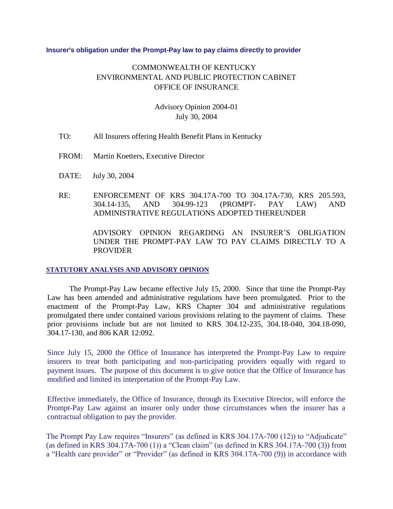## **Insurer's obligation under the Prompt-Pay law to pay claims directly to provider**

## COMMONWEALTH OF KENTUCKY ENVIRONMENTAL AND PUBLIC PROTECTION CABINET OFFICE OF INSURANCE

## Advisory Opinion 2004-01 July 30, 2004

- TO: All Insurers offering Health Benefit Plans in Kentucky
- FROM: Martin Koetters, Executive Director
- DATE: July 30, 2004
- RE: ENFORCEMENT OF KRS 304.17A-700 TO 304.17A-730, KRS 205.593, 304.14-135, AND 304.99-123 (PROMPT- PAY LAW) AND ADMINISTRATIVE REGULATIONS ADOPTED THEREUNDER

ADVISORY OPINION REGARDING AN INSURER'S OBLIGATION UNDER THE PROMPT-PAY LAW TO PAY CLAIMS DIRECTLY TO A PROVIDER

## **STATUTORY ANALYSIS AND ADVISORY OPINION**

The Prompt-Pay Law became effective July 15, 2000. Since that time the Prompt-Pay Law has been amended and administrative regulations have been promulgated. Prior to the enactment of the Prompt-Pay Law, KRS Chapter 304 and administrative regulations promulgated there under contained various provisions relating to the payment of claims. These prior provisions include but are not limited to KRS 304.12-235, 304.18-040, 304.18-090, 304.17-130, and 806 KAR 12:092.

Since July 15, 2000 the Office of Insurance has interpreted the Prompt-Pay Law to require insurers to treat both participating and non-participating providers equally with regard to payment issues. The purpose of this document is to give notice that the Office of Insurance has modified and limited its interpretation of the Prompt-Pay Law.

Effective immediately, the Office of Insurance, through its Executive Director, will enforce the Prompt-Pay Law against an insurer only under those circumstances when the insurer has a contractual obligation to pay the provider.

The Prompt Pay Law requires "Insurers" (as defined in KRS 304.17A-700 (12)) to "Adjudicate" (as defined in KRS 304.17A-700 (1)) a "Clean claim" (as defined in KRS 304.17A-700 (3)) from a "Health care provider" or "Provider" (as defined in KRS 304.17A-700 (9)) in accordance with